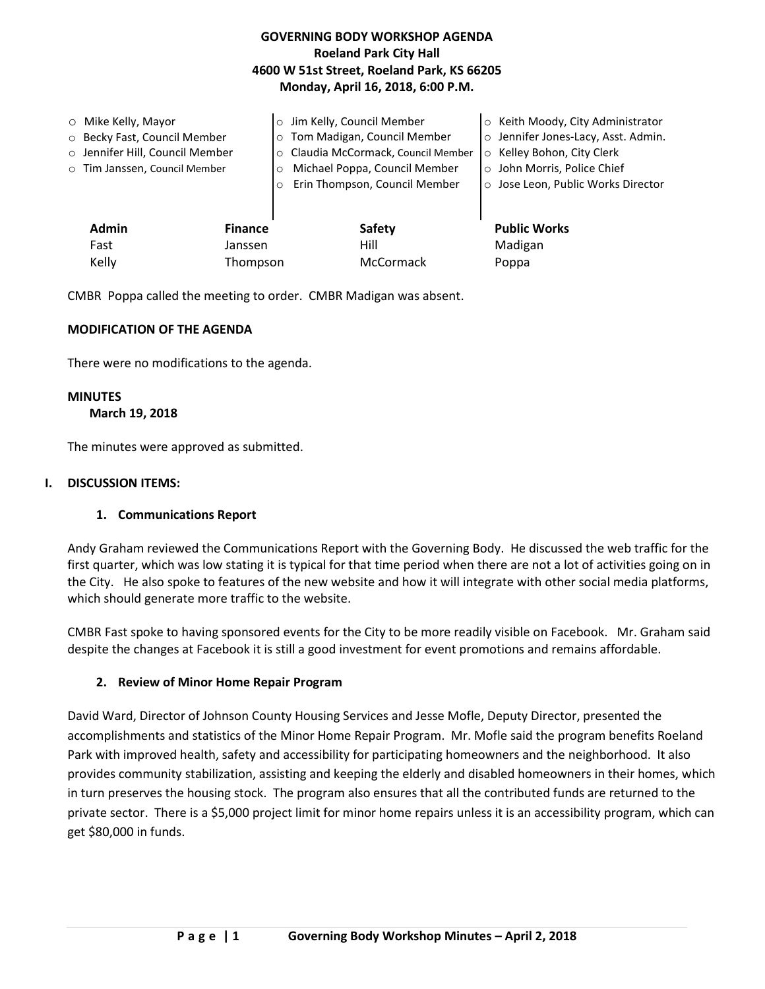## **GOVERNING BODY WORKSHOP AGENDA Roeland Park City Hall 4600 W 51st Street, Roeland Park, KS 66205 Monday, April 16, 2018, 6:00 P.M.**

| $\circ$ Mike Kelly, Mayor<br>○ Becky Fast, Council Member<br>o Jennifer Hill, Council Member<br>o Tim Janssen, Council Member | $\circ$<br>$\circ$<br>$\circ$ | Jim Kelly, Council Member<br>Tom Madigan, Council Member<br>Claudia McCormack, Council Member<br>Michael Poppa, Council Member<br>Erin Thompson, Council Member | o Keith Moody, City Administrator<br>o Jennifer Jones-Lacy, Asst. Admin.<br>o Kelley Bohon, City Clerk<br>o John Morris, Police Chief<br>o Jose Leon, Public Works Director |
|-------------------------------------------------------------------------------------------------------------------------------|-------------------------------|-----------------------------------------------------------------------------------------------------------------------------------------------------------------|-----------------------------------------------------------------------------------------------------------------------------------------------------------------------------|
| <b>Admin</b><br>Fast                                                                                                          | <b>Finance</b><br>Janssen     | Safety<br>Hill                                                                                                                                                  | <b>Public Works</b><br>Madigan                                                                                                                                              |
| Kelly                                                                                                                         | Thompson                      | McCormack                                                                                                                                                       | Poppa                                                                                                                                                                       |

CMBR Poppa called the meeting to order. CMBR Madigan was absent.

### **MODIFICATION OF THE AGENDA**

There were no modifications to the agenda.

#### **MINUTES**

 **March 19, 2018** 

The minutes were approved as submitted.

### **I. DISCUSSION ITEMS:**

### **1. Communications Report**

Andy Graham reviewed the Communications Report with the Governing Body. He discussed the web traffic for the first quarter, which was low stating it is typical for that time period when there are not a lot of activities going on in the City. He also spoke to features of the new website and how it will integrate with other social media platforms, which should generate more traffic to the website.

CMBR Fast spoke to having sponsored events for the City to be more readily visible on Facebook. Mr. Graham said despite the changes at Facebook it is still a good investment for event promotions and remains affordable.

### **2. Review of Minor Home Repair Program**

David Ward, Director of Johnson County Housing Services and Jesse Mofle, Deputy Director, presented the accomplishments and statistics of the Minor Home Repair Program. Mr. Mofle said the program benefits Roeland Park with improved health, safety and accessibility for participating homeowners and the neighborhood. It also provides community stabilization, assisting and keeping the elderly and disabled homeowners in their homes, which in turn preserves the housing stock. The program also ensures that all the contributed funds are returned to the private sector. There is a \$5,000 project limit for minor home repairs unless it is an accessibility program, which can get \$80,000 in funds.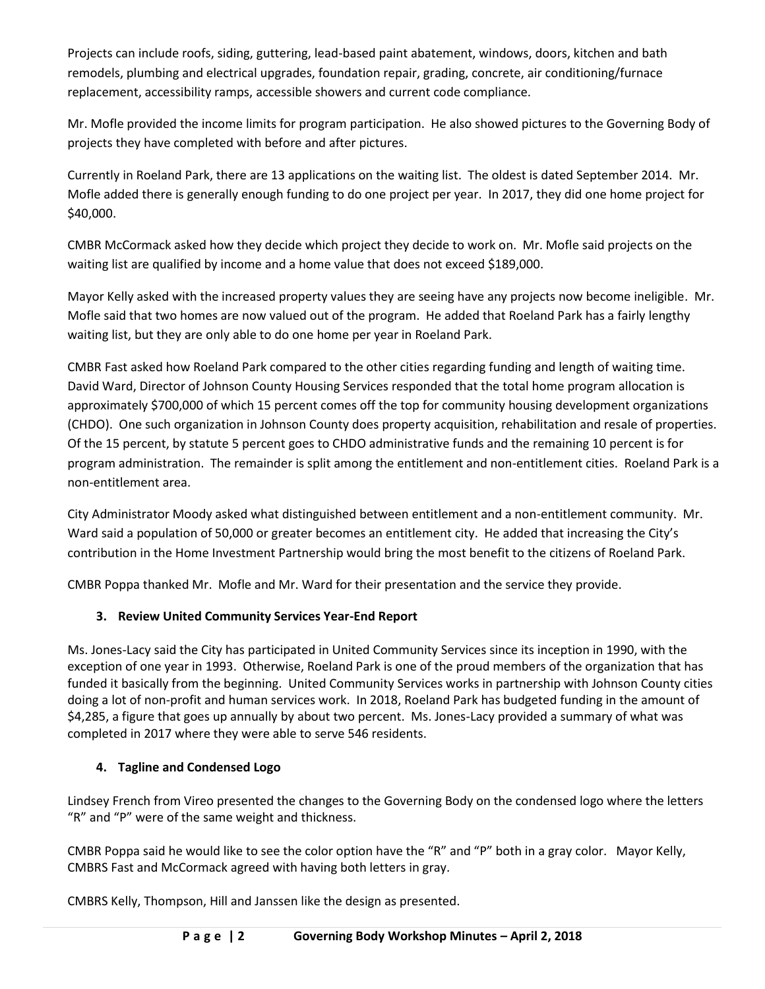Projects can include roofs, siding, guttering, lead-based paint abatement, windows, doors, kitchen and bath remodels, plumbing and electrical upgrades, foundation repair, grading, concrete, air conditioning/furnace replacement, accessibility ramps, accessible showers and current code compliance.

Mr. Mofle provided the income limits for program participation. He also showed pictures to the Governing Body of projects they have completed with before and after pictures.

Currently in Roeland Park, there are 13 applications on the waiting list. The oldest is dated September 2014. Mr. Mofle added there is generally enough funding to do one project per year. In 2017, they did one home project for \$40,000.

CMBR McCormack asked how they decide which project they decide to work on. Mr. Mofle said projects on the waiting list are qualified by income and a home value that does not exceed \$189,000.

Mayor Kelly asked with the increased property values they are seeing have any projects now become ineligible. Mr. Mofle said that two homes are now valued out of the program. He added that Roeland Park has a fairly lengthy waiting list, but they are only able to do one home per year in Roeland Park.

CMBR Fast asked how Roeland Park compared to the other cities regarding funding and length of waiting time. David Ward, Director of Johnson County Housing Services responded that the total home program allocation is approximately \$700,000 of which 15 percent comes off the top for community housing development organizations (CHDO). One such organization in Johnson County does property acquisition, rehabilitation and resale of properties. Of the 15 percent, by statute 5 percent goes to CHDO administrative funds and the remaining 10 percent is for program administration. The remainder is split among the entitlement and non-entitlement cities. Roeland Park is a non-entitlement area.

City Administrator Moody asked what distinguished between entitlement and a non-entitlement community. Mr. Ward said a population of 50,000 or greater becomes an entitlement city. He added that increasing the City's contribution in the Home Investment Partnership would bring the most benefit to the citizens of Roeland Park.

CMBR Poppa thanked Mr. Mofle and Mr. Ward for their presentation and the service they provide.

# **3. Review United Community Services Year-End Report**

Ms. Jones-Lacy said the City has participated in United Community Services since its inception in 1990, with the exception of one year in 1993. Otherwise, Roeland Park is one of the proud members of the organization that has funded it basically from the beginning. United Community Services works in partnership with Johnson County cities doing a lot of non-profit and human services work. In 2018, Roeland Park has budgeted funding in the amount of \$4,285, a figure that goes up annually by about two percent. Ms. Jones-Lacy provided a summary of what was completed in 2017 where they were able to serve 546 residents.

## **4. Tagline and Condensed Logo**

Lindsey French from Vireo presented the changes to the Governing Body on the condensed logo where the letters "R" and "P" were of the same weight and thickness.

CMBR Poppa said he would like to see the color option have the "R" and "P" both in a gray color. Mayor Kelly, CMBRS Fast and McCormack agreed with having both letters in gray.

CMBRS Kelly, Thompson, Hill and Janssen like the design as presented.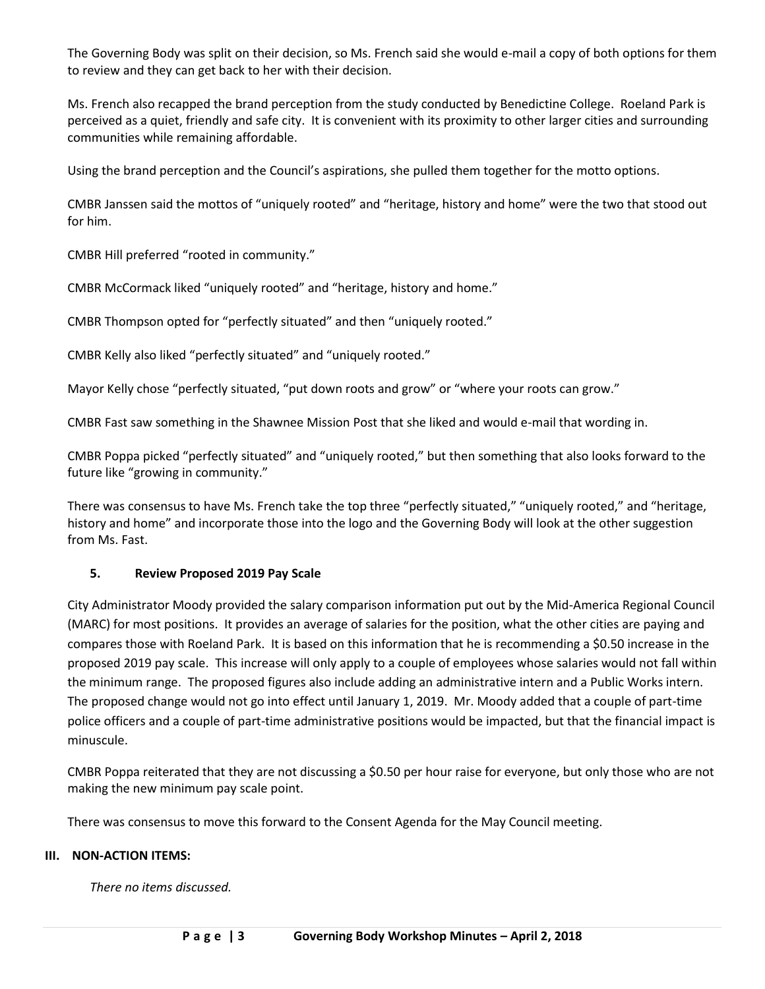The Governing Body was split on their decision, so Ms. French said she would e-mail a copy of both options for them to review and they can get back to her with their decision.

Ms. French also recapped the brand perception from the study conducted by Benedictine College. Roeland Park is perceived as a quiet, friendly and safe city. It is convenient with its proximity to other larger cities and surrounding communities while remaining affordable.

Using the brand perception and the Council's aspirations, she pulled them together for the motto options.

CMBR Janssen said the mottos of "uniquely rooted" and "heritage, history and home" were the two that stood out for him.

CMBR Hill preferred "rooted in community."

CMBR McCormack liked "uniquely rooted" and "heritage, history and home."

CMBR Thompson opted for "perfectly situated" and then "uniquely rooted."

CMBR Kelly also liked "perfectly situated" and "uniquely rooted."

Mayor Kelly chose "perfectly situated, "put down roots and grow" or "where your roots can grow."

CMBR Fast saw something in the Shawnee Mission Post that she liked and would e-mail that wording in.

CMBR Poppa picked "perfectly situated" and "uniquely rooted," but then something that also looks forward to the future like "growing in community."

There was consensus to have Ms. French take the top three "perfectly situated," "uniquely rooted," and "heritage, history and home" and incorporate those into the logo and the Governing Body will look at the other suggestion from Ms. Fast.

## **5. Review Proposed 2019 Pay Scale**

City Administrator Moody provided the salary comparison information put out by the Mid-America Regional Council (MARC) for most positions. It provides an average of salaries for the position, what the other cities are paying and compares those with Roeland Park. It is based on this information that he is recommending a \$0.50 increase in the proposed 2019 pay scale. This increase will only apply to a couple of employees whose salaries would not fall within the minimum range. The proposed figures also include adding an administrative intern and a Public Works intern. The proposed change would not go into effect until January 1, 2019. Mr. Moody added that a couple of part-time police officers and a couple of part-time administrative positions would be impacted, but that the financial impact is minuscule.

CMBR Poppa reiterated that they are not discussing a \$0.50 per hour raise for everyone, but only those who are not making the new minimum pay scale point.

There was consensus to move this forward to the Consent Agenda for the May Council meeting.

## **III. NON-ACTION ITEMS:**

*There no items discussed.*